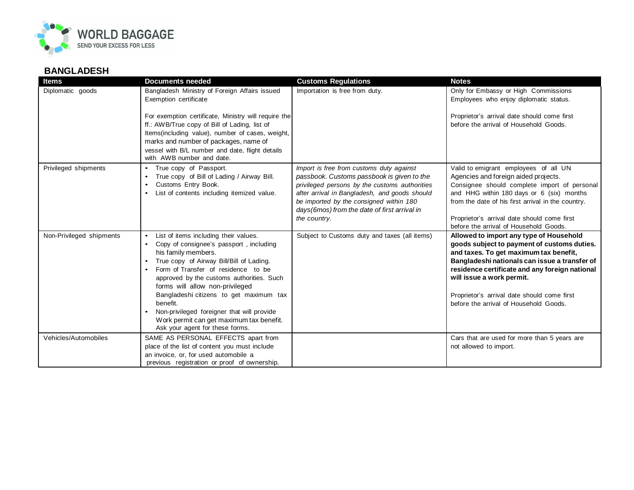

## **BANGLADESH**

| <b>Items</b>             | <b>Documents needed</b>                                                                                                                                                                                                                                                                                                                                                                                                                                                                  | <b>Customs Regulations</b>                                                                                                                                                                                                                                                                          | <b>Notes</b>                                                                                                                                                                                                                                                                                                                                              |
|--------------------------|------------------------------------------------------------------------------------------------------------------------------------------------------------------------------------------------------------------------------------------------------------------------------------------------------------------------------------------------------------------------------------------------------------------------------------------------------------------------------------------|-----------------------------------------------------------------------------------------------------------------------------------------------------------------------------------------------------------------------------------------------------------------------------------------------------|-----------------------------------------------------------------------------------------------------------------------------------------------------------------------------------------------------------------------------------------------------------------------------------------------------------------------------------------------------------|
| Diplomatic goods         | Bangladesh Ministry of Foreign Affairs issued<br>Exemption certificate                                                                                                                                                                                                                                                                                                                                                                                                                   | Importation is free from duty.                                                                                                                                                                                                                                                                      | Only for Embassy or High Commissions<br>Employees who enjoy diplomatic status.                                                                                                                                                                                                                                                                            |
|                          | For exemption certificate, Ministry will require the<br>ff.: AWB/True copy of Bill of Lading, list of<br>Items(including value), number of cases, weight,<br>marks and number of packages, name of<br>vessel with B/L number and date, flight details<br>with AWB number and date.                                                                                                                                                                                                       |                                                                                                                                                                                                                                                                                                     | Proprietor's arrival date should come first<br>before the arrival of Household Goods.                                                                                                                                                                                                                                                                     |
| Privileged shipments     | True copy of Passport.<br>True copy of Bill of Lading / Airway Bill.<br>Customs Entry Book.<br>List of contents including itemized value.                                                                                                                                                                                                                                                                                                                                                | Import is free from customs duty against<br>passbook. Customs passbook is given to the<br>privileged persons by the customs authorities<br>after arrival in Bangladesh, and goods should<br>be imported by the consigned within 180<br>days(6mos) from the date of first arrival in<br>the country. | Valid to emigrant employees of all UN<br>Agencies and foreign aided projects.<br>Consignee should complete import of personal<br>and HHG within 180 days or 6 (six) months<br>from the date of his first arrival in the country.<br>Proprietor's arrival date should come first<br>before the arrival of Household Goods.                                 |
| Non-Privileged shipments | List of items including their values.<br>$\bullet$<br>Copy of consignee's passport, including<br>his family members.<br>True copy of Airway Bill/Bill of Lading.<br>Form of Transfer of residence to be<br>$\bullet$<br>approved by the customs authorities. Such<br>forms will allow non-privileged<br>Bangladeshi citizens to get maximum tax<br>benefit.<br>Non-privileged foreigner that will provide<br>Work permit can get maximum tax benefit.<br>Ask your agent for these forms. | Subject to Customs duty and taxes (all items)                                                                                                                                                                                                                                                       | Allowed to import any type of Household<br>goods subject to payment of customs duties.<br>and taxes. To get maximum tax benefit,<br>Bangladeshi nationals can issue a transfer of<br>residence certificate and any foreign national<br>will issue a work permit.<br>Proprietor's arrival date should come first<br>before the arrival of Household Goods. |
| Vehicles/Automobiles     | SAME AS PERSONAL EFFECTS apart from<br>place of the list of content you must include<br>an invoice, or, for used automobile a<br>previous registration or proof of ownership.                                                                                                                                                                                                                                                                                                            |                                                                                                                                                                                                                                                                                                     | Cars that are used for more than 5 years are<br>not allowed to import.                                                                                                                                                                                                                                                                                    |